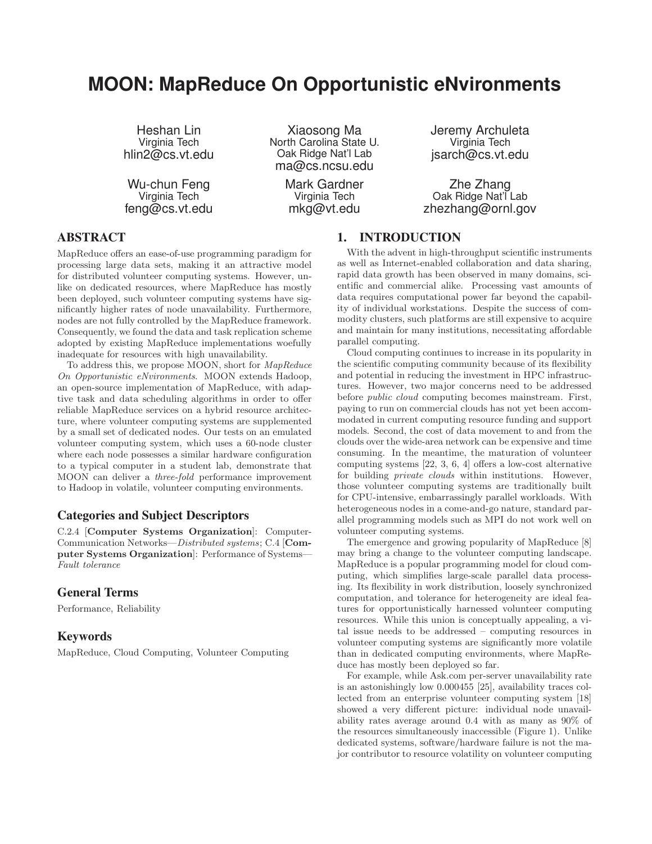# **MOON: MapReduce On Opportunistic eNvironments**

Heshan Lin Virginia Tech hlin2@cs.vt.edu

Wu-chun Feng Virginia Tech feng@cs.vt.edu

Xiaosong Ma North Carolina State U. Oak Ridge Nat'l Lab ma@cs.ncsu.edu

> Mark Gardner Virginia Tech mkg@vt.edu

Jeremy Archuleta Virginia Tech jsarch@cs.vt.edu

Zhe Zhang Oak Ridge Nat'l Lab zhezhang@ornl.gov

# **ABSTRACT**

MapReduce offers an ease-of-use programming paradigm for processing large data sets, making it an attractive model for distributed volunteer computing systems. However, unlike on dedicated resources, where MapReduce has mostly been deployed, such volunteer computing systems have significantly higher rates of node unavailability. Furthermore, nodes are not fully controlled by the MapReduce framework. Consequently, we found the data and task replication scheme adopted by existing MapReduce implementations woefully inadequate for resources with high unavailability.

To address this, we propose MOON, short for *MapReduce On Opportunistic eNvironments*. MOON extends Hadoop, an open-source implementation of MapReduce, with adaptive task and data scheduling algorithms in order to offer reliable MapReduce services on a hybrid resource architecture, where volunteer computing systems are supplemented by a small set of dedicated nodes. Our tests on an emulated volunteer computing system, which uses a 60-node cluster where each node possesses a similar hardware configuration to a typical computer in a student lab, demonstrate that MOON can deliver a *three-fold* performance improvement to Hadoop in volatile, volunteer computing environments.

# **Categories and Subject Descriptors**

C.2.4 [Computer Systems Organization]: Computer-Communication Networks—*Distributed systems*; C.4 [Computer Systems Organization]: Performance of Systems— *Fault tolerance*

## **General Terms**

Performance, Reliability

## **Keywords**

MapReduce, Cloud Computing, Volunteer Computing

# **1. INTRODUCTION**

With the advent in high-throughput scientific instruments as well as Internet-enabled collaboration and data sharing, rapid data growth has been observed in many domains, scientific and commercial alike. Processing vast amounts of data requires computational power far beyond the capability of individual workstations. Despite the success of commodity clusters, such platforms are still expensive to acquire and maintain for many institutions, necessitating affordable parallel computing.

Cloud computing continues to increase in its popularity in the scientific computing community because of its flexibility and potential in reducing the investment in HPC infrastructures. However, two major concerns need to be addressed before *public cloud* computing becomes mainstream. First, paying to run on commercial clouds has not yet been accommodated in current computing resource funding and support models. Second, the cost of data movement to and from the clouds over the wide-area network can be expensive and time consuming. In the meantime, the maturation of volunteer computing systems [22, 3, 6, 4] offers a low-cost alternative for building *private clouds* within institutions. However, those volunteer computing systems are traditionally built for CPU-intensive, embarrassingly parallel workloads. With heterogeneous nodes in a come-and-go nature, standard parallel programming models such as MPI do not work well on volunteer computing systems.

The emergence and growing popularity of MapReduce [8] may bring a change to the volunteer computing landscape. MapReduce is a popular programming model for cloud computing, which simplifies large-scale parallel data processing. Its flexibility in work distribution, loosely synchronized computation, and tolerance for heterogeneity are ideal features for opportunistically harnessed volunteer computing resources. While this union is conceptually appealing, a vital issue needs to be addressed – computing resources in volunteer computing systems are significantly more volatile than in dedicated computing environments, where MapReduce has mostly been deployed so far.

For example, while Ask.com per-server unavailability rate is an astonishingly low 0.000455 [25], availability traces collected from an enterprise volunteer computing system [18] showed a very different picture: individual node unavailability rates average around 0.4 with as many as 90% of the resources simultaneously inaccessible (Figure 1). Unlike dedicated systems, software/hardware failure is not the major contributor to resource volatility on volunteer computing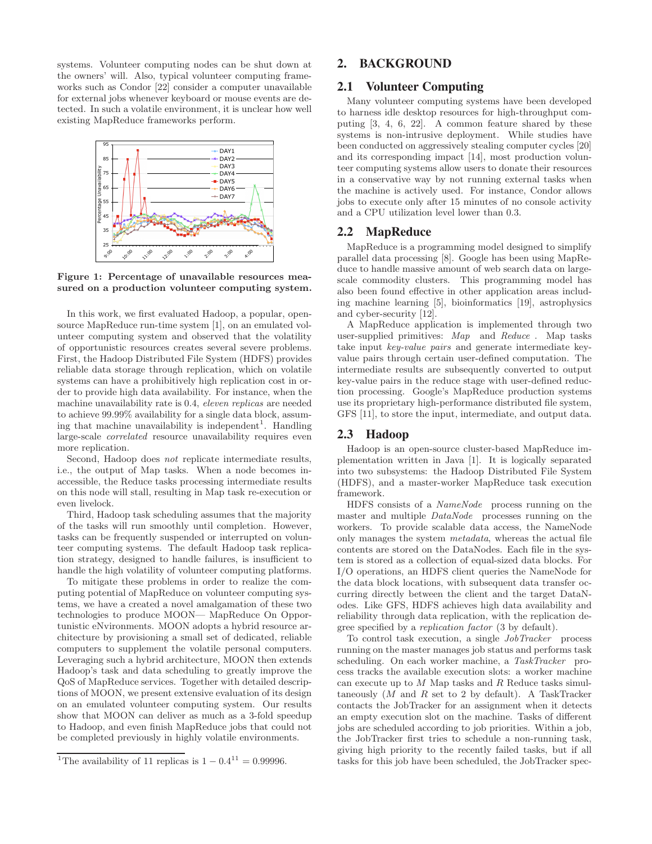systems. Volunteer computing nodes can be shut down at the owners' will. Also, typical volunteer computing frameworks such as Condor [22] consider a computer unavailable for external jobs whenever keyboard or mouse events are detected. In such a volatile environment, it is unclear how well existing MapReduce frameworks perform.



Figure 1: Percentage of unavailable resources measured on a production volunteer computing system.

In this work, we first evaluated Hadoop, a popular, opensource MapReduce run-time system [1], on an emulated volunteer computing system and observed that the volatility of opportunistic resources creates several severe problems. First, the Hadoop Distributed File System (HDFS) provides reliable data storage through replication, which on volatile systems can have a prohibitively high replication cost in order to provide high data availability. For instance, when the machine unavailability rate is 0.4, *eleven replicas* are needed to achieve 99.99% availability for a single data block, assuming that machine unavailability is independent<sup>1</sup>. Handling large-scale *correlated* resource unavailability requires even more replication.

Second, Hadoop does *not* replicate intermediate results, i.e., the output of Map tasks. When a node becomes inaccessible, the Reduce tasks processing intermediate results on this node will stall, resulting in Map task re-execution or even livelock.

Third, Hadoop task scheduling assumes that the majority of the tasks will run smoothly until completion. However, tasks can be frequently suspended or interrupted on volunteer computing systems. The default Hadoop task replication strategy, designed to handle failures, is insufficient to handle the high volatility of volunteer computing platforms.

To mitigate these problems in order to realize the computing potential of MapReduce on volunteer computing systems, we have a created a novel amalgamation of these two technologies to produce MOON— MapReduce On Opportunistic eNvironments. MOON adopts a hybrid resource architecture by provisioning a small set of dedicated, reliable computers to supplement the volatile personal computers. Leveraging such a hybrid architecture, MOON then extends Hadoop's task and data scheduling to greatly improve the QoS of MapReduce services. Together with detailed descriptions of MOON, we present extensive evaluation of its design on an emulated volunteer computing system. Our results show that MOON can deliver as much as a 3-fold speedup to Hadoop, and even finish MapReduce jobs that could not be completed previously in highly volatile environments.

# **2. BACKGROUND**

#### **2.1 Volunteer Computing**

Many volunteer computing systems have been developed to harness idle desktop resources for high-throughput computing [3, 4, 6, 22]. A common feature shared by these systems is non-intrusive deployment. While studies have been conducted on aggressively stealing computer cycles [20] and its corresponding impact [14], most production volunteer computing systems allow users to donate their resources in a conservative way by not running external tasks when the machine is actively used. For instance, Condor allows jobs to execute only after 15 minutes of no console activity and a CPU utilization level lower than 0.3.

#### **2.2 MapReduce**

MapReduce is a programming model designed to simplify parallel data processing [8]. Google has been using MapReduce to handle massive amount of web search data on largescale commodity clusters. This programming model has also been found effective in other application areas including machine learning [5], bioinformatics [19], astrophysics and cyber-security [12].

A MapReduce application is implemented through two user-supplied primitives: *Map* and *Reduce* . Map tasks take input *key-value pairs* and generate intermediate keyvalue pairs through certain user-defined computation. The intermediate results are subsequently converted to output key-value pairs in the reduce stage with user-defined reduction processing. Google's MapReduce production systems use its proprietary high-performance distributed file system, GFS [11], to store the input, intermediate, and output data.

# **2.3 Hadoop**

Hadoop is an open-source cluster-based MapReduce implementation written in Java [1]. It is logically separated into two subsystems: the Hadoop Distributed File System (HDFS), and a master-worker MapReduce task execution framework.

HDFS consists of a *NameNode* process running on the master and multiple *DataNode* processes running on the workers. To provide scalable data access, the NameNode only manages the system *metadata*, whereas the actual file contents are stored on the DataNodes. Each file in the system is stored as a collection of equal-sized data blocks. For I/O operations, an HDFS client queries the NameNode for the data block locations, with subsequent data transfer occurring directly between the client and the target DataNodes. Like GFS, HDFS achieves high data availability and reliability through data replication, with the replication degree specified by a *replication factor* (3 by default).

To control task execution, a single *JobTracker* process running on the master manages job status and performs task scheduling. On each worker machine, a *TaskTracker* process tracks the available execution slots: a worker machine can execute up to  $M$  Map tasks and  $R$  Reduce tasks simultaneously  $(M \text{ and } R \text{ set to } 2 \text{ by default})$ . A TaskTracker contacts the JobTracker for an assignment when it detects an empty execution slot on the machine. Tasks of different jobs are scheduled according to job priorities. Within a job, the JobTracker first tries to schedule a non-running task, giving high priority to the recently failed tasks, but if all tasks for this job have been scheduled, the JobTracker spec-

<sup>&</sup>lt;sup>1</sup>The availability of 11 replicas is  $1 - 0.4^{11} = 0.99996$ .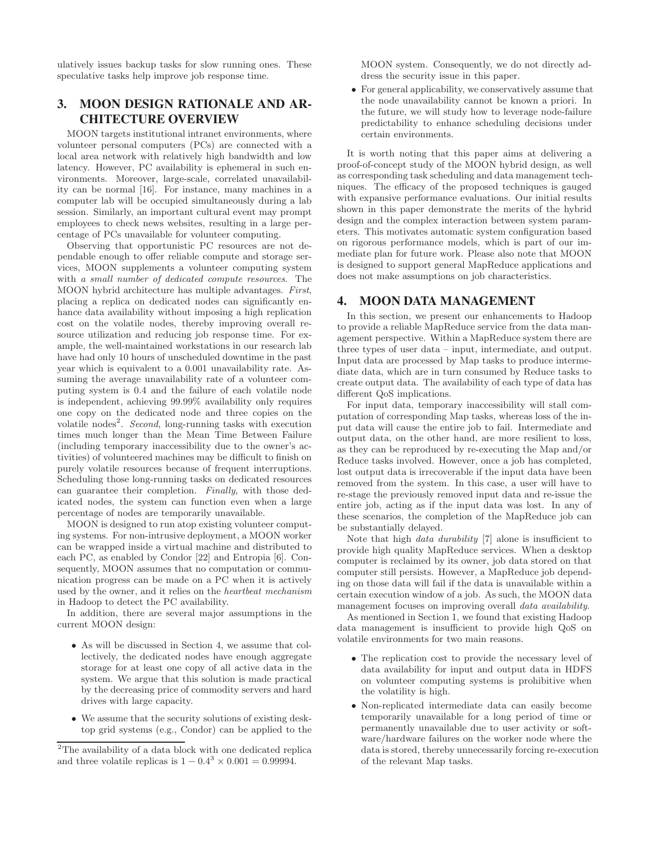ulatively issues backup tasks for slow running ones. These speculative tasks help improve job response time.

# **3. MOON DESIGN RATIONALE AND AR-CHITECTURE OVERVIEW**

MOON targets institutional intranet environments, where volunteer personal computers (PCs) are connected with a local area network with relatively high bandwidth and low latency. However, PC availability is ephemeral in such environments. Moreover, large-scale, correlated unavailability can be normal [16]. For instance, many machines in a computer lab will be occupied simultaneously during a lab session. Similarly, an important cultural event may prompt employees to check news websites, resulting in a large percentage of PCs unavailable for volunteer computing.

Observing that opportunistic PC resources are not dependable enough to offer reliable compute and storage services, MOON supplements a volunteer computing system with *a small number of dedicated compute resources*. The MOON hybrid architecture has multiple advantages. *First*, placing a replica on dedicated nodes can significantly enhance data availability without imposing a high replication cost on the volatile nodes, thereby improving overall resource utilization and reducing job response time. For example, the well-maintained workstations in our research lab have had only 10 hours of unscheduled downtime in the past year which is equivalent to a 0.001 unavailability rate. Assuming the average unavailability rate of a volunteer computing system is 0.4 and the failure of each volatile node is independent, achieving 99.99% availability only requires one copy on the dedicated node and three copies on the volatile nodes<sup>2</sup>. *Second*, long-running tasks with execution times much longer than the Mean Time Between Failure (including temporary inaccessibility due to the owner's activities) of volunteered machines may be difficult to finish on purely volatile resources because of frequent interruptions. Scheduling those long-running tasks on dedicated resources can guarantee their completion. *Finally*, with those dedicated nodes, the system can function even when a large percentage of nodes are temporarily unavailable.

MOON is designed to run atop existing volunteer computing systems. For non-intrusive deployment, a MOON worker can be wrapped inside a virtual machine and distributed to each PC, as enabled by Condor [22] and Entropia [6]. Consequently, MOON assumes that no computation or communication progress can be made on a PC when it is actively used by the owner, and it relies on the *heartbeat mechanism* in Hadoop to detect the PC availability.

In addition, there are several major assumptions in the current MOON design:

- As will be discussed in Section 4, we assume that collectively, the dedicated nodes have enough aggregate storage for at least one copy of all active data in the system. We argue that this solution is made practical by the decreasing price of commodity servers and hard drives with large capacity.
- We assume that the security solutions of existing desktop grid systems (e.g., Condor) can be applied to the

MOON system. Consequently, we do not directly address the security issue in this paper.

• For general applicability, we conservatively assume that the node unavailability cannot be known a priori. In the future, we will study how to leverage node-failure predictability to enhance scheduling decisions under certain environments.

It is worth noting that this paper aims at delivering a proof-of-concept study of the MOON hybrid design, as well as corresponding task scheduling and data management techniques. The efficacy of the proposed techniques is gauged with expansive performance evaluations. Our initial results shown in this paper demonstrate the merits of the hybrid design and the complex interaction between system parameters. This motivates automatic system configuration based on rigorous performance models, which is part of our immediate plan for future work. Please also note that MOON is designed to support general MapReduce applications and does not make assumptions on job characteristics.

#### **4. MOON DATA MANAGEMENT**

In this section, we present our enhancements to Hadoop to provide a reliable MapReduce service from the data management perspective. Within a MapReduce system there are three types of user data – input, intermediate, and output. Input data are processed by Map tasks to produce intermediate data, which are in turn consumed by Reduce tasks to create output data. The availability of each type of data has different QoS implications.

For input data, temporary inaccessibility will stall computation of corresponding Map tasks, whereas loss of the input data will cause the entire job to fail. Intermediate and output data, on the other hand, are more resilient to loss, as they can be reproduced by re-executing the Map and/or Reduce tasks involved. However, once a job has completed, lost output data is irrecoverable if the input data have been removed from the system. In this case, a user will have to re-stage the previously removed input data and re-issue the entire job, acting as if the input data was lost. In any of these scenarios, the completion of the MapReduce job can be substantially delayed.

Note that high *data durability* [7] alone is insufficient to provide high quality MapReduce services. When a desktop computer is reclaimed by its owner, job data stored on that computer still persists. However, a MapReduce job depending on those data will fail if the data is unavailable within a certain execution window of a job. As such, the MOON data management focuses on improving overall *data availability*.

As mentioned in Section 1, we found that existing Hadoop data management is insufficient to provide high QoS on volatile environments for two main reasons.

- The replication cost to provide the necessary level of data availability for input and output data in HDFS on volunteer computing systems is prohibitive when the volatility is high.
- Non-replicated intermediate data can easily become temporarily unavailable for a long period of time or permanently unavailable due to user activity or software/hardware failures on the worker node where the data is stored, thereby unnecessarily forcing re-execution of the relevant Map tasks.

 $\rm{^2The}$  availability of a data block with one dedicated replica and three volatile replicas is  $1 - 0.4^3 \times 0.001 = 0.99994$ .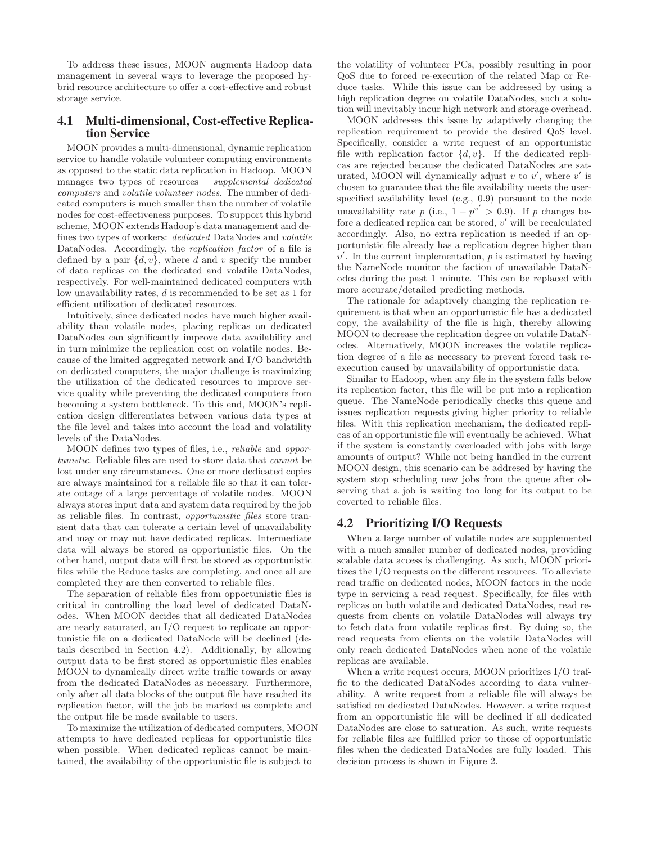To address these issues, MOON augments Hadoop data management in several ways to leverage the proposed hybrid resource architecture to offer a cost-effective and robust storage service.

# **4.1 Multi-dimensional, Cost-effective Replication Service**

MOON provides a multi-dimensional, dynamic replication service to handle volatile volunteer computing environments as opposed to the static data replication in Hadoop. MOON manages two types of resources – *supplemental dedicated computers* and *volatile volunteer nodes*. The number of dedicated computers is much smaller than the number of volatile nodes for cost-effectiveness purposes. To support this hybrid scheme, MOON extends Hadoop's data management and defines two types of workers: *dedicated* DataNodes and *volatile* DataNodes. Accordingly, the *replication factor* of a file is defined by a pair  $\{d, v\}$ , where d and v specify the number of data replicas on the dedicated and volatile DataNodes, respectively. For well-maintained dedicated computers with low unavailability rates, d is recommended to be set as 1 for efficient utilization of dedicated resources.

Intuitively, since dedicated nodes have much higher availability than volatile nodes, placing replicas on dedicated DataNodes can significantly improve data availability and in turn minimize the replication cost on volatile nodes. Because of the limited aggregated network and I/O bandwidth on dedicated computers, the major challenge is maximizing the utilization of the dedicated resources to improve service quality while preventing the dedicated computers from becoming a system bottleneck. To this end, MOON's replication design differentiates between various data types at the file level and takes into account the load and volatility levels of the DataNodes.

MOON defines two types of files, i.e., *reliable* and *opportunistic*. Reliable files are used to store data that *cannot* be lost under any circumstances. One or more dedicated copies are always maintained for a reliable file so that it can tolerate outage of a large percentage of volatile nodes. MOON always stores input data and system data required by the job as reliable files. In contrast, *opportunistic files* store transient data that can tolerate a certain level of unavailability and may or may not have dedicated replicas. Intermediate data will always be stored as opportunistic files. On the other hand, output data will first be stored as opportunistic files while the Reduce tasks are completing, and once all are completed they are then converted to reliable files.

The separation of reliable files from opportunistic files is critical in controlling the load level of dedicated DataNodes. When MOON decides that all dedicated DataNodes are nearly saturated, an I/O request to replicate an opportunistic file on a dedicated DataNode will be declined (details described in Section 4.2). Additionally, by allowing output data to be first stored as opportunistic files enables MOON to dynamically direct write traffic towards or away from the dedicated DataNodes as necessary. Furthermore, only after all data blocks of the output file have reached its replication factor, will the job be marked as complete and the output file be made available to users.

To maximize the utilization of dedicated computers, MOON attempts to have dedicated replicas for opportunistic files when possible. When dedicated replicas cannot be maintained, the availability of the opportunistic file is subject to

the volatility of volunteer PCs, possibly resulting in poor QoS due to forced re-execution of the related Map or Reduce tasks. While this issue can be addressed by using a high replication degree on volatile DataNodes, such a solution will inevitably incur high network and storage overhead.

MOON addresses this issue by adaptively changing the replication requirement to provide the desired QoS level. Specifically, consider a write request of an opportunistic file with replication factor  $\{d, v\}$ . If the dedicated replicas are rejected because the dedicated DataNodes are saturated, MOON will dynamically adjust  $v$  to  $v'$ , where  $v'$  is chosen to guarantee that the file availability meets the userspecified availability level (e.g., 0.9) pursuant to the node unavailability rate p (i.e.,  $1 - p^{v'} > 0.9$ ). If p changes before a dedicated replica can be stored, v' will be recalculated accordingly. Also, no extra replication is needed if an opportunistic file already has a replication degree higher than  $v'$ . In the current implementation,  $p$  is estimated by having the NameNode monitor the faction of unavailable DataNodes during the past 1 minute. This can be replaced with more accurate/detailed predicting methods.

The rationale for adaptively changing the replication requirement is that when an opportunistic file has a dedicated copy, the availability of the file is high, thereby allowing MOON to decrease the replication degree on volatile DataNodes. Alternatively, MOON increases the volatile replication degree of a file as necessary to prevent forced task reexecution caused by unavailability of opportunistic data.

Similar to Hadoop, when any file in the system falls below its replication factor, this file will be put into a replication queue. The NameNode periodically checks this queue and issues replication requests giving higher priority to reliable files. With this replication mechanism, the dedicated replicas of an opportunistic file will eventually be achieved. What if the system is constantly overloaded with jobs with large amounts of output? While not being handled in the current MOON design, this scenario can be addresed by having the system stop scheduling new jobs from the queue after observing that a job is waiting too long for its output to be coverted to reliable files.

# **4.2 Prioritizing I/O Requests**

When a large number of volatile nodes are supplemented with a much smaller number of dedicated nodes, providing scalable data access is challenging. As such, MOON prioritizes the I/O requests on the different resources. To alleviate read traffic on dedicated nodes, MOON factors in the node type in servicing a read request. Specifically, for files with replicas on both volatile and dedicated DataNodes, read requests from clients on volatile DataNodes will always try to fetch data from volatile replicas first. By doing so, the read requests from clients on the volatile DataNodes will only reach dedicated DataNodes when none of the volatile replicas are available.

When a write request occurs, MOON prioritizes I/O traffic to the dedicated DataNodes according to data vulnerability. A write request from a reliable file will always be satisfied on dedicated DataNodes. However, a write request from an opportunistic file will be declined if all dedicated DataNodes are close to saturation. As such, write requests for reliable files are fulfilled prior to those of opportunistic files when the dedicated DataNodes are fully loaded. This decision process is shown in Figure 2.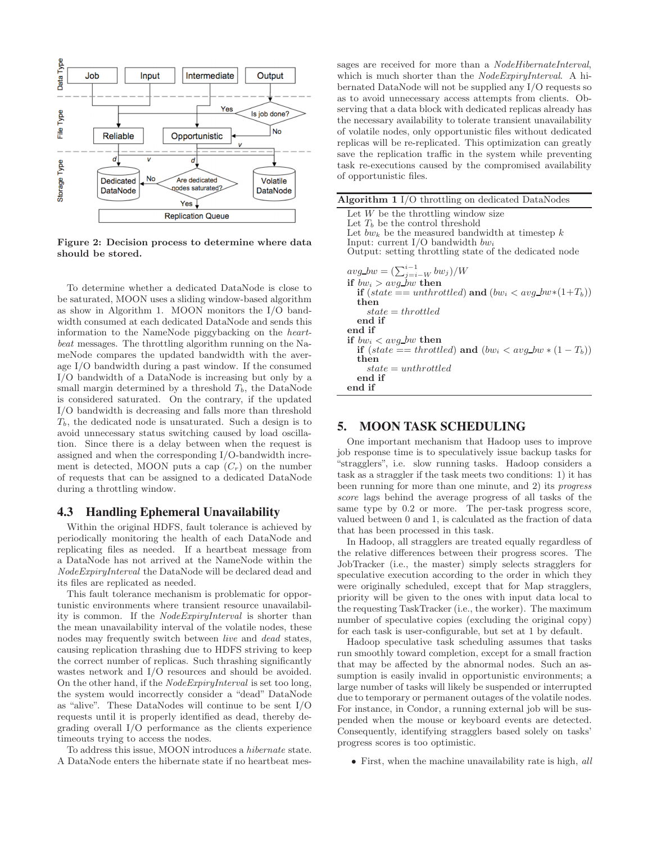

Figure 2: Decision process to determine where data should be stored.

To determine whether a dedicated DataNode is close to be saturated, MOON uses a sliding window-based algorithm as show in Algorithm 1. MOON monitors the I/O bandwidth consumed at each dedicated DataNode and sends this information to the NameNode piggybacking on the *heartbeat* messages. The throttling algorithm running on the NameNode compares the updated bandwidth with the average I/O bandwidth during a past window. If the consumed I/O bandwidth of a DataNode is increasing but only by a small margin determined by a threshold  $T<sub>b</sub>$ , the DataNode is considered saturated. On the contrary, if the updated I/O bandwidth is decreasing and falls more than threshold  $T<sub>b</sub>$ , the dedicated node is unsaturated. Such a design is to avoid unnecessary status switching caused by load oscillation. Since there is a delay between when the request is assigned and when the corresponding I/O-bandwidth increment is detected, MOON puts a cap  $(C_r)$  on the number of requests that can be assigned to a dedicated DataNode during a throttling window.

# **4.3 Handling Ephemeral Unavailability**

Within the original HDFS, fault tolerance is achieved by periodically monitoring the health of each DataNode and replicating files as needed. If a heartbeat message from a DataNode has not arrived at the NameNode within the *NodeExpiryInterval* the DataNode will be declared dead and its files are replicated as needed.

This fault tolerance mechanism is problematic for opportunistic environments where transient resource unavailability is common. If the *NodeExpiryInterval* is shorter than the mean unavailability interval of the volatile nodes, these nodes may frequently switch between *live* and *dead* states, causing replication thrashing due to HDFS striving to keep the correct number of replicas. Such thrashing significantly wastes network and I/O resources and should be avoided. On the other hand, if the *NodeExpiryInterval* is set too long, the system would incorrectly consider a "dead" DataNode as "alive". These DataNodes will continue to be sent I/O requests until it is properly identified as dead, thereby degrading overall I/O performance as the clients experience timeouts trying to access the nodes.

To address this issue, MOON introduces a *hibernate* state. A DataNode enters the hibernate state if no heartbeat messages are received for more than a *NodeHibernateInterval*, which is much shorter than the *NodeExpiryInterval*. A hibernated DataNode will not be supplied any I/O requests so as to avoid unnecessary access attempts from clients. Observing that a data block with dedicated replicas already has the necessary availability to tolerate transient unavailability of volatile nodes, only opportunistic files without dedicated replicas will be re-replicated. This optimization can greatly save the replication traffic in the system while preventing task re-executions caused by the compromised availability of opportunistic files.

| <b>Algorithm 1</b> I/O throttling on dedicated DataNodes                                                                                                                                                                          |
|-----------------------------------------------------------------------------------------------------------------------------------------------------------------------------------------------------------------------------------|
| Let $W$ be the throttling window size<br>Let $Tb$ be the control threshold<br>Let $bw_k$ be the measured bandwidth at timestep k<br>Input: current I/O bandwidth $bw_i$<br>Output: setting throttling state of the dedicated node |
| $avg\_bw = (\sum_{i=i-W}^{i-1} bw_j)/W$<br>if $bw_i > avg_bw$ then<br>if (state $=$ = unthrottled) and (bw <sub>i</sub> < avg_bw*(1+T <sub>b</sub> ))<br>then                                                                     |
| $state = throttled$<br>end if<br>end if<br>if $bw_i < avg_bw$ then                                                                                                                                                                |
| if $(state == throttled)$ and $(bw_i < avg_b w * (1 - T_b))$<br>then<br>$state = unthrottled$<br>end if<br>end if                                                                                                                 |
|                                                                                                                                                                                                                                   |

## **5. MOON TASK SCHEDULING**

One important mechanism that Hadoop uses to improve job response time is to speculatively issue backup tasks for "stragglers", i.e. slow running tasks. Hadoop considers a task as a straggler if the task meets two conditions: 1) it has been running for more than one minute, and 2) its *progress score* lags behind the average progress of all tasks of the same type by 0.2 or more. The per-task progress score, valued between 0 and 1, is calculated as the fraction of data that has been processed in this task.

In Hadoop, all stragglers are treated equally regardless of the relative differences between their progress scores. The JobTracker (i.e., the master) simply selects stragglers for speculative execution according to the order in which they were originally scheduled, except that for Map stragglers, priority will be given to the ones with input data local to the requesting TaskTracker (i.e., the worker). The maximum number of speculative copies (excluding the original copy) for each task is user-configurable, but set at 1 by default.

Hadoop speculative task scheduling assumes that tasks run smoothly toward completion, except for a small fraction that may be affected by the abnormal nodes. Such an assumption is easily invalid in opportunistic environments; a large number of tasks will likely be suspended or interrupted due to temporary or permanent outages of the volatile nodes. For instance, in Condor, a running external job will be suspended when the mouse or keyboard events are detected. Consequently, identifying stragglers based solely on tasks' progress scores is too optimistic.

• First, when the machine unavailability rate is high, *all*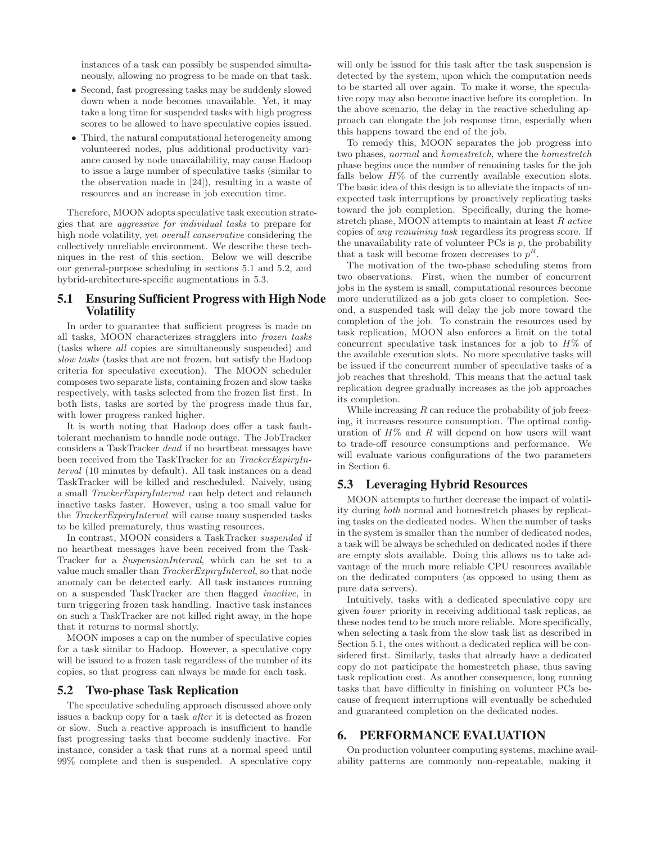instances of a task can possibly be suspended simultaneously, allowing no progress to be made on that task.

- Second, fast progressing tasks may be suddenly slowed down when a node becomes unavailable. Yet, it may take a long time for suspended tasks with high progress scores to be allowed to have speculative copies issued.
- Third, the natural computational heterogeneity among volunteered nodes, plus additional productivity variance caused by node unavailability, may cause Hadoop to issue a large number of speculative tasks (similar to the observation made in [24]), resulting in a waste of resources and an increase in job execution time.

Therefore, MOON adopts speculative task execution strategies that are *aggressive for individual tasks* to prepare for high node volatility, yet *overall conservative* considering the collectively unreliable environment. We describe these techniques in the rest of this section. Below we will describe our general-purpose scheduling in sections 5.1 and 5.2, and hybrid-architecture-specific augmentations in 5.3.

# **5.1 Ensuring Sufficient Progress with High Node Volatility**

In order to guarantee that sufficient progress is made on all tasks, MOON characterizes stragglers into *frozen tasks* (tasks where *all* copies are simultaneously suspended) and *slow tasks* (tasks that are not frozen, but satisfy the Hadoop criteria for speculative execution). The MOON scheduler composes two separate lists, containing frozen and slow tasks respectively, with tasks selected from the frozen list first. In both lists, tasks are sorted by the progress made thus far, with lower progress ranked higher.

It is worth noting that Hadoop does offer a task faulttolerant mechanism to handle node outage. The JobTracker considers a TaskTracker *dead* if no heartbeat messages have been received from the TaskTracker for an *TrackerExpiryInterval* (10 minutes by default). All task instances on a dead TaskTracker will be killed and rescheduled. Naively, using a small *TrackerExpiryInterval* can help detect and relaunch inactive tasks faster. However, using a too small value for the *TrackerExpiryInterval* will cause many suspended tasks to be killed prematurely, thus wasting resources.

In contrast, MOON considers a TaskTracker *suspended* if no heartbeat messages have been received from the Task-Tracker for a *SuspensionInterval*, which can be set to a value much smaller than *TrackerExpiryInterval*, so that node anomaly can be detected early. All task instances running on a suspended TaskTracker are then flagged *inactive*, in turn triggering frozen task handling. Inactive task instances on such a TaskTracker are not killed right away, in the hope that it returns to normal shortly.

MOON imposes a cap on the number of speculative copies for a task similar to Hadoop. However, a speculative copy will be issued to a frozen task regardless of the number of its copies, so that progress can always be made for each task.

## **5.2 Two-phase Task Replication**

The speculative scheduling approach discussed above only issues a backup copy for a task *after* it is detected as frozen or slow. Such a reactive approach is insufficient to handle fast progressing tasks that become suddenly inactive. For instance, consider a task that runs at a normal speed until 99% complete and then is suspended. A speculative copy will only be issued for this task after the task suspension is detected by the system, upon which the computation needs to be started all over again. To make it worse, the speculative copy may also become inactive before its completion. In the above scenario, the delay in the reactive scheduling approach can elongate the job response time, especially when this happens toward the end of the job.

To remedy this, MOON separates the job progress into two phases, *normal* and *homestretch*, where the *homestretch* phase begins once the number of remaining tasks for the job falls below  $H\%$  of the currently available execution slots. The basic idea of this design is to alleviate the impacts of unexpected task interruptions by proactively replicating tasks toward the job completion. Specifically, during the homestretch phase, MOON attempts to maintain at least R *active* copies of *any remaining task* regardless its progress score. If the unavailability rate of volunteer  $PCs$  is  $p$ , the probability that a task will become frozen decreases to  $p^R$ .

The motivation of the two-phase scheduling stems from two observations. First, when the number of concurrent jobs in the system is small, computational resources become more underutilized as a job gets closer to completion. Second, a suspended task will delay the job more toward the completion of the job. To constrain the resources used by task replication, MOON also enforces a limit on the total concurrent speculative task instances for a job to  $H\%$  of the available execution slots. No more speculative tasks will be issued if the concurrent number of speculative tasks of a job reaches that threshold. This means that the actual task replication degree gradually increases as the job approaches its completion.

While increasing  $R$  can reduce the probability of job freezing, it increases resource consumption. The optimal configuration of  $H\%$  and R will depend on how users will want to trade-off resource consumptions and performance. We will evaluate various configurations of the two parameters in Section 6.

# **5.3 Leveraging Hybrid Resources**

MOON attempts to further decrease the impact of volatility during *both* normal and homestretch phases by replicating tasks on the dedicated nodes. When the number of tasks in the system is smaller than the number of dedicated nodes, a task will be always be scheduled on dedicated nodes if there are empty slots available. Doing this allows us to take advantage of the much more reliable CPU resources available on the dedicated computers (as opposed to using them as pure data servers).

Intuitively, tasks with a dedicated speculative copy are given *lower* priority in receiving additional task replicas, as these nodes tend to be much more reliable. More specifically, when selecting a task from the slow task list as described in Section 5.1, the ones without a dedicated replica will be considered first. Similarly, tasks that already have a dedicated copy do not participate the homestretch phase, thus saving task replication cost. As another consequence, long running tasks that have difficulty in finishing on volunteer PCs because of frequent interruptions will eventually be scheduled and guaranteed completion on the dedicated nodes.

# **6. PERFORMANCE EVALUATION**

On production volunteer computing systems, machine availability patterns are commonly non-repeatable, making it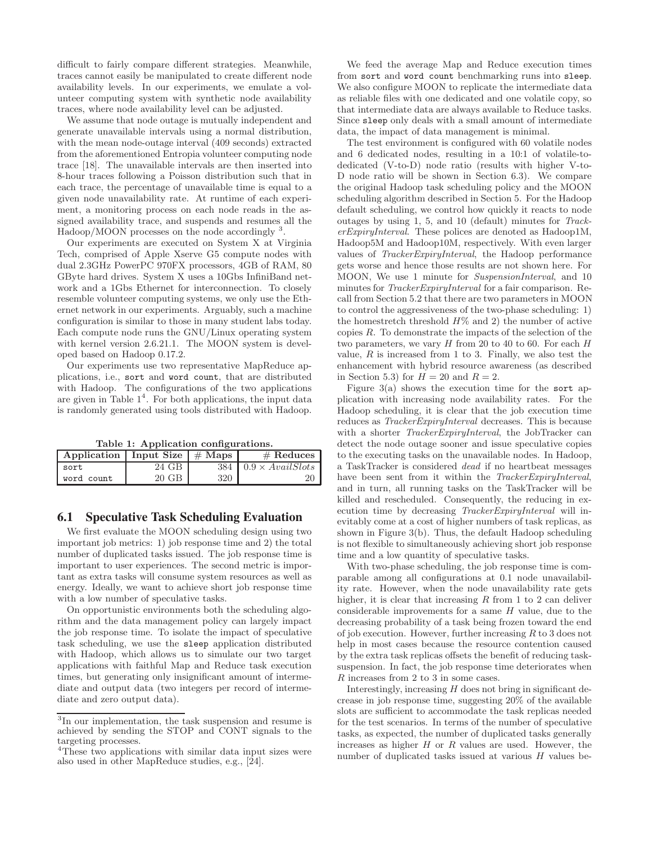difficult to fairly compare different strategies. Meanwhile, traces cannot easily be manipulated to create different node availability levels. In our experiments, we emulate a volunteer computing system with synthetic node availability traces, where node availability level can be adjusted.

We assume that node outage is mutually independent and generate unavailable intervals using a normal distribution, with the mean node-outage interval (409 seconds) extracted from the aforementioned Entropia volunteer computing node trace [18]. The unavailable intervals are then inserted into 8-hour traces following a Poisson distribution such that in each trace, the percentage of unavailable time is equal to a given node unavailability rate. At runtime of each experiment, a monitoring process on each node reads in the assigned availability trace, and suspends and resumes all the Hadoop/MOON processes on the node accordingly <sup>3</sup>.

Our experiments are executed on System X at Virginia Tech, comprised of Apple Xserve G5 compute nodes with dual 2.3GHz PowerPC 970FX processors, 4GB of RAM, 80 GByte hard drives. System X uses a 10Gbs InfiniBand network and a 1Gbs Ethernet for interconnection. To closely resemble volunteer computing systems, we only use the Ethernet network in our experiments. Arguably, such a machine configuration is similar to those in many student labs today. Each compute node runs the GNU/Linux operating system with kernel version 2.6.21.1. The MOON system is developed based on Hadoop 0.17.2.

Our experiments use two representative MapReduce applications, i.e., sort and word count, that are distributed with Hadoop. The configurations of the two applications are given in Table  $1^4$ . For both applications, the input data is randomly generated using tools distributed with Hadoop.

Table 1: Application configurations.

| Application   Input Size $\vert \#$ Maps |       |     | $#$ Reduces                     |
|------------------------------------------|-------|-----|---------------------------------|
| sort                                     | 24 GB |     | $384 \mid 0.9 \times Available$ |
| word count                               | 20 GB | 320 |                                 |

#### **6.1 Speculative Task Scheduling Evaluation**

We first evaluate the MOON scheduling design using two important job metrics: 1) job response time and 2) the total number of duplicated tasks issued. The job response time is important to user experiences. The second metric is important as extra tasks will consume system resources as well as energy. Ideally, we want to achieve short job response time with a low number of speculative tasks.

On opportunistic environments both the scheduling algorithm and the data management policy can largely impact the job response time. To isolate the impact of speculative task scheduling, we use the sleep application distributed with Hadoop, which allows us to simulate our two target applications with faithful Map and Reduce task execution times, but generating only insignificant amount of intermediate and output data (two integers per record of intermediate and zero output data).

We feed the average Map and Reduce execution times from sort and word count benchmarking runs into sleep. We also configure MOON to replicate the intermediate data as reliable files with one dedicated and one volatile copy, so that intermediate data are always available to Reduce tasks. Since sleep only deals with a small amount of intermediate data, the impact of data management is minimal.

The test environment is configured with 60 volatile nodes and 6 dedicated nodes, resulting in a 10:1 of volatile-todedicated (V-to-D) node ratio (results with higher V-to-D node ratio will be shown in Section 6.3). We compare the original Hadoop task scheduling policy and the MOON scheduling algorithm described in Section 5. For the Hadoop default scheduling, we control how quickly it reacts to node outages by using 1, 5, and 10 (default) minutes for *TrackerExpiryInterval*. These polices are denoted as Hadoop1M, Hadoop5M and Hadoop10M, respectively. With even larger values of *TrackerExpiryInterval*, the Hadoop performance gets worse and hence those results are not shown here. For MOON, We use 1 minute for *SuspensionInterval*, and 10 minutes for *TrackerExpiryInterval* for a fair comparison. Recall from Section 5.2 that there are two parameters in MOON to control the aggressiveness of the two-phase scheduling: 1) the homestretch threshold  $H\%$  and 2) the number of active copies  $R$ . To demonstrate the impacts of the selection of the two parameters, we vary  $H$  from 20 to 40 to 60. For each  $H$ value,  $R$  is increased from 1 to 3. Finally, we also test the enhancement with hybrid resource awareness (as described in Section 5.3) for  $H = 20$  and  $R = 2$ .

Figure  $3(a)$  shows the execution time for the sort application with increasing node availability rates. For the Hadoop scheduling, it is clear that the job execution time reduces as *TrackerExpiryInterval* decreases. This is because with a shorter *TrackerExpiryInterval*, the JobTracker can detect the node outage sooner and issue speculative copies to the executing tasks on the unavailable nodes. In Hadoop, a TaskTracker is considered *dead* if no heartbeat messages have been sent from it within the *TrackerExpiryInterval*, and in turn, all running tasks on the TaskTracker will be killed and rescheduled. Consequently, the reducing in execution time by decreasing *TrackerExpiryInterval* will inevitably come at a cost of higher numbers of task replicas, as shown in Figure 3(b). Thus, the default Hadoop scheduling is not flexible to simultaneously achieving short job response time and a low quantity of speculative tasks.

With two-phase scheduling, the job response time is comparable among all configurations at 0.1 node unavailability rate. However, when the node unavailability rate gets higher, it is clear that increasing  $R$  from 1 to 2 can deliver considerable improvements for a same  $H$  value, due to the decreasing probability of a task being frozen toward the end of job execution. However, further increasing  $R$  to 3 does not help in most cases because the resource contention caused by the extra task replicas offsets the benefit of reducing tasksuspension. In fact, the job response time deteriorates when R increases from 2 to 3 in some cases.

Interestingly, increasing  $H$  does not bring in significant decrease in job response time, suggesting 20% of the available slots are sufficient to accommodate the task replicas needed for the test scenarios. In terms of the number of speculative tasks, as expected, the number of duplicated tasks generally increases as higher  $H$  or  $R$  values are used. However, the number of duplicated tasks issued at various  $H$  values be-

<sup>3</sup> In our implementation, the task suspension and resume is achieved by sending the STOP and CONT signals to the targeting processes.

<sup>4</sup>These two applications with similar data input sizes were also used in other MapReduce studies, e.g., [24].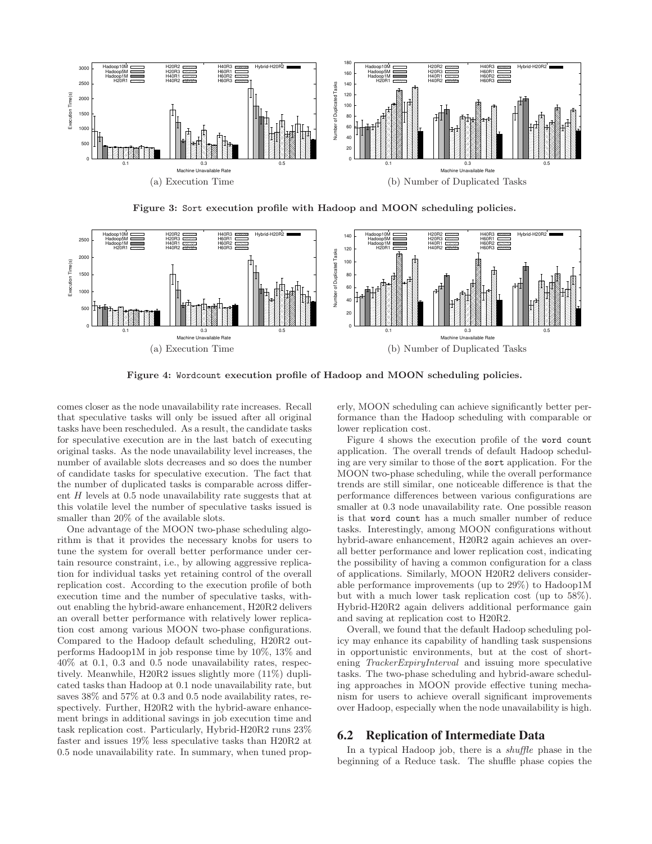

Figure 3: Sort execution profile with Hadoop and MOON scheduling policies.



Figure 4: Wordcount execution profile of Hadoop and MOON scheduling policies.

comes closer as the node unavailability rate increases. Recall that speculative tasks will only be issued after all original tasks have been rescheduled. As a result, the candidate tasks for speculative execution are in the last batch of executing original tasks. As the node unavailability level increases, the number of available slots decreases and so does the number of candidate tasks for speculative execution. The fact that the number of duplicated tasks is comparable across different H levels at 0.5 node unavailability rate suggests that at this volatile level the number of speculative tasks issued is smaller than 20% of the available slots.

One advantage of the MOON two-phase scheduling algorithm is that it provides the necessary knobs for users to tune the system for overall better performance under certain resource constraint, i.e., by allowing aggressive replication for individual tasks yet retaining control of the overall replication cost. According to the execution profile of both execution time and the number of speculative tasks, without enabling the hybrid-aware enhancement, H20R2 delivers an overall better performance with relatively lower replication cost among various MOON two-phase configurations. Compared to the Hadoop default scheduling, H20R2 outperforms Hadoop1M in job response time by 10%, 13% and 40% at 0.1, 0.3 and 0.5 node unavailability rates, respectively. Meanwhile, H20R2 issues slightly more (11%) duplicated tasks than Hadoop at 0.1 node unavailability rate, but saves 38% and 57% at 0.3 and 0.5 node availability rates, respectively. Further, H20R2 with the hybrid-aware enhancement brings in additional savings in job execution time and task replication cost. Particularly, Hybrid-H20R2 runs 23% faster and issues 19% less speculative tasks than H20R2 at 0.5 node unavailability rate. In summary, when tuned properly, MOON scheduling can achieve significantly better performance than the Hadoop scheduling with comparable or lower replication cost.

Figure 4 shows the execution profile of the word count application. The overall trends of default Hadoop scheduling are very similar to those of the sort application. For the MOON two-phase scheduling, while the overall performance trends are still similar, one noticeable difference is that the performance differences between various configurations are smaller at 0.3 node unavailability rate. One possible reason is that word count has a much smaller number of reduce tasks. Interestingly, among MOON configurations without hybrid-aware enhancement, H20R2 again achieves an overall better performance and lower replication cost, indicating the possibility of having a common configuration for a class of applications. Similarly, MOON H20R2 delivers considerable performance improvements (up to 29%) to Hadoop1M but with a much lower task replication cost (up to 58%). Hybrid-H20R2 again delivers additional performance gain and saving at replication cost to H20R2.

Overall, we found that the default Hadoop scheduling policy may enhance its capability of handling task suspensions in opportunistic environments, but at the cost of shortening *TrackerExpiryInterval* and issuing more speculative tasks. The two-phase scheduling and hybrid-aware scheduling approaches in MOON provide effective tuning mechanism for users to achieve overall significant improvements over Hadoop, especially when the node unavailability is high.

#### **6.2 Replication of Intermediate Data**

In a typical Hadoop job, there is a *shuffle* phase in the beginning of a Reduce task. The shuffle phase copies the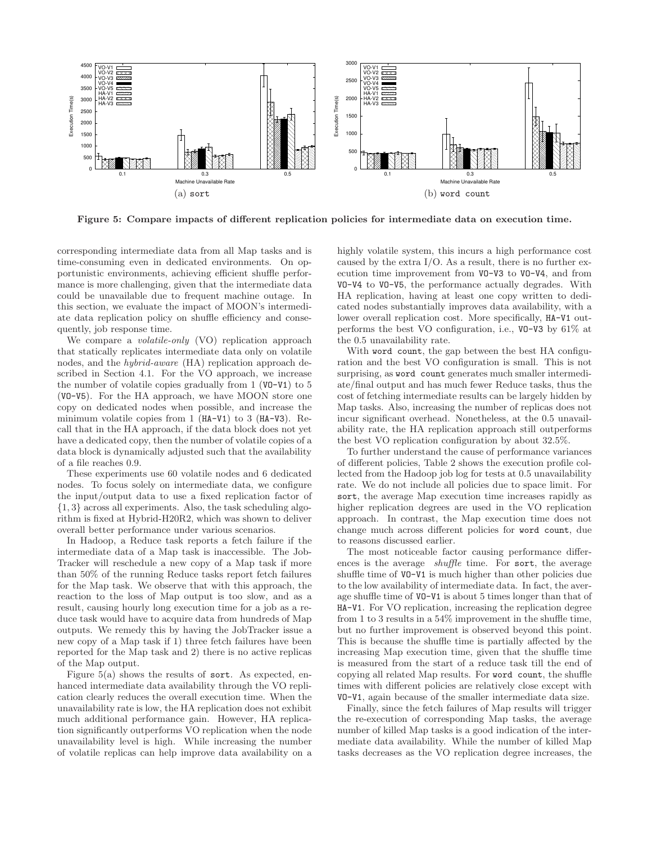

Figure 5: Compare impacts of different replication policies for intermediate data on execution time.

corresponding intermediate data from all Map tasks and is time-consuming even in dedicated environments. On opportunistic environments, achieving efficient shuffle performance is more challenging, given that the intermediate data could be unavailable due to frequent machine outage. In this section, we evaluate the impact of MOON's intermediate data replication policy on shuffle efficiency and consequently, job response time.

We compare a *volatile-only* (VO) replication approach that statically replicates intermediate data only on volatile nodes, and the *hybrid-aware* (HA) replication approach described in Section 4.1. For the VO approach, we increase the number of volatile copies gradually from 1 (VO-V1) to 5 (VO-V5). For the HA approach, we have MOON store one copy on dedicated nodes when possible, and increase the minimum volatile copies from 1 (HA-V1) to 3 (HA-V3). Recall that in the HA approach, if the data block does not yet have a dedicated copy, then the number of volatile copies of a data block is dynamically adjusted such that the availability of a file reaches 0.9.

These experiments use 60 volatile nodes and 6 dedicated nodes. To focus solely on intermediate data, we configure the input/output data to use a fixed replication factor of {1, 3} across all experiments. Also, the task scheduling algorithm is fixed at Hybrid-H20R2, which was shown to deliver overall better performance under various scenarios.

In Hadoop, a Reduce task reports a fetch failure if the intermediate data of a Map task is inaccessible. The Job-Tracker will reschedule a new copy of a Map task if more than 50% of the running Reduce tasks report fetch failures for the Map task. We observe that with this approach, the reaction to the loss of Map output is too slow, and as a result, causing hourly long execution time for a job as a reduce task would have to acquire data from hundreds of Map outputs. We remedy this by having the JobTracker issue a new copy of a Map task if 1) three fetch failures have been reported for the Map task and 2) there is no active replicas of the Map output.

Figure  $5(a)$  shows the results of sort. As expected, enhanced intermediate data availability through the VO replication clearly reduces the overall execution time. When the unavailability rate is low, the HA replication does not exhibit much additional performance gain. However, HA replication significantly outperforms VO replication when the node unavailability level is high. While increasing the number of volatile replicas can help improve data availability on a highly volatile system, this incurs a high performance cost caused by the extra I/O. As a result, there is no further execution time improvement from VO-V3 to VO-V4, and from VO-V4 to VO-V5, the performance actually degrades. With HA replication, having at least one copy written to dedicated nodes substantially improves data availability, with a lower overall replication cost. More specifically, HA-V1 outperforms the best VO configuration, i.e., VO-V3 by 61% at the 0.5 unavailability rate.

With word count, the gap between the best HA configuration and the best VO configuration is small. This is not surprising, as word count generates much smaller intermediate/final output and has much fewer Reduce tasks, thus the cost of fetching intermediate results can be largely hidden by Map tasks. Also, increasing the number of replicas does not incur significant overhead. Nonetheless, at the 0.5 unavailability rate, the HA replication approach still outperforms the best VO replication configuration by about 32.5%.

To further understand the cause of performance variances of different policies, Table 2 shows the execution profile collected from the Hadoop job log for tests at 0.5 unavailability rate. We do not include all policies due to space limit. For sort, the average Map execution time increases rapidly as higher replication degrees are used in the VO replication approach. In contrast, the Map execution time does not change much across different policies for word count, due to reasons discussed earlier.

The most noticeable factor causing performance differences is the average *shuffle* time. For sort, the average shuffle time of  $VO-V1$  is much higher than other policies due to the low availability of intermediate data. In fact, the average shuffle time of VO-V1 is about 5 times longer than that of HA-V1. For VO replication, increasing the replication degree from 1 to 3 results in a 54% improvement in the shuffle time, but no further improvement is observed beyond this point. This is because the shuffle time is partially affected by the increasing Map execution time, given that the shuffle time is measured from the start of a reduce task till the end of copying all related Map results. For word count, the shuffle times with different policies are relatively close except with VO-V1, again because of the smaller intermediate data size.

Finally, since the fetch failures of Map results will trigger the re-execution of corresponding Map tasks, the average number of killed Map tasks is a good indication of the intermediate data availability. While the number of killed Map tasks decreases as the VO replication degree increases, the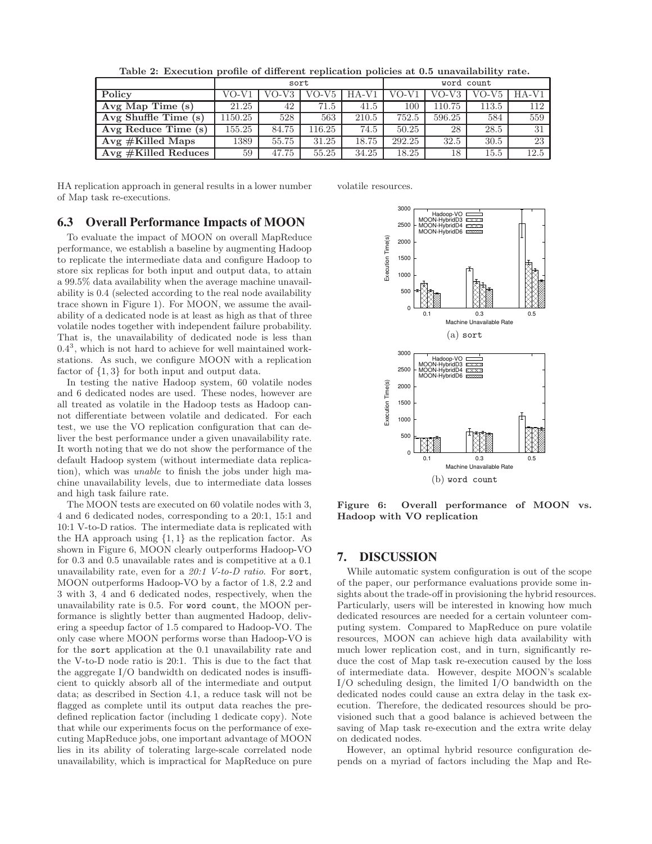| Table 2: Execution profile of different replication policies at 0.5 unavailability rate. |  |  |  |
|------------------------------------------------------------------------------------------|--|--|--|
|------------------------------------------------------------------------------------------|--|--|--|

|                         | sort    |         |        |         | word count |        |       |         |
|-------------------------|---------|---------|--------|---------|------------|--------|-------|---------|
| Policy                  | VO-V1   | VO-V3 l | VO-V5  | $HA-V1$ | VO-V1      | VO-V3  | VO-V5 | $HA-V1$ |
| Avg Map Time(s)         | 21.25   | 42      | 71.5   | 41.5    | 100        | 110.75 | 113.5 | 112     |
| Avg Shuffle Time $(s)$  | 1150.25 | 528     | 563    | 210.5   | 752.5      | 596.25 | 584   | 559     |
| Avg Reduce Time (s)     | 155.25  | 84.75   | 116.25 | 74.5    | 50.25      | 28     | 28.5  | 31      |
| $Avg$ #Killed Maps      | 1389    | 55.75   | 31.25  | 18.75   | 292.25     | 32.5   | 30.5  | 23      |
| $Avg \#Killed\ Reduces$ | 59      | 47.75   | 55.25  | 34.25   | 18.25      | 18     | 15.5  | 12.5    |

HA replication approach in general results in a lower number of Map task re-executions.

## **6.3 Overall Performance Impacts of MOON**

To evaluate the impact of MOON on overall MapReduce performance, we establish a baseline by augmenting Hadoop to replicate the intermediate data and configure Hadoop to store six replicas for both input and output data, to attain a 99.5% data availability when the average machine unavailability is 0.4 (selected according to the real node availability trace shown in Figure 1). For MOON, we assume the availability of a dedicated node is at least as high as that of three volatile nodes together with independent failure probability. That is, the unavailability of dedicated node is less than 0.4 3 , which is not hard to achieve for well maintained workstations. As such, we configure MOON with a replication factor of {1, 3} for both input and output data.

In testing the native Hadoop system, 60 volatile nodes and 6 dedicated nodes are used. These nodes, however are all treated as volatile in the Hadoop tests as Hadoop cannot differentiate between volatile and dedicated. For each test, we use the VO replication configuration that can deliver the best performance under a given unavailability rate. It worth noting that we do not show the performance of the default Hadoop system (without intermediate data replication), which was *unable* to finish the jobs under high machine unavailability levels, due to intermediate data losses and high task failure rate.

The MOON tests are executed on 60 volatile nodes with 3, 4 and 6 dedicated nodes, corresponding to a 20:1, 15:1 and 10:1 V-to-D ratios. The intermediate data is replicated with the HA approach using  $\{1, 1\}$  as the replication factor. As shown in Figure 6, MOON clearly outperforms Hadoop-VO for 0.3 and 0.5 unavailable rates and is competitive at a 0.1 unavailability rate, even for a *20:1 V-to-D ratio*. For sort, MOON outperforms Hadoop-VO by a factor of 1.8, 2.2 and 3 with 3, 4 and 6 dedicated nodes, respectively, when the unavailability rate is 0.5. For word count, the MOON performance is slightly better than augmented Hadoop, delivering a speedup factor of 1.5 compared to Hadoop-VO. The only case where MOON performs worse than Hadoop-VO is for the sort application at the 0.1 unavailability rate and the V-to-D node ratio is 20:1. This is due to the fact that the aggregate I/O bandwidth on dedicated nodes is insufficient to quickly absorb all of the intermediate and output data; as described in Section 4.1, a reduce task will not be flagged as complete until its output data reaches the predefined replication factor (including 1 dedicate copy). Note that while our experiments focus on the performance of executing MapReduce jobs, one important advantage of MOON lies in its ability of tolerating large-scale correlated node unavailability, which is impractical for MapReduce on pure

volatile resources.



Figure 6: Overall performance of MOON vs. Hadoop with VO replication

#### **7. DISCUSSION**

While automatic system configuration is out of the scope of the paper, our performance evaluations provide some insights about the trade-off in provisioning the hybrid resources. Particularly, users will be interested in knowing how much dedicated resources are needed for a certain volunteer computing system. Compared to MapReduce on pure volatile resources, MOON can achieve high data availability with much lower replication cost, and in turn, significantly reduce the cost of Map task re-execution caused by the loss of intermediate data. However, despite MOON's scalable I/O scheduling design, the limited I/O bandwidth on the dedicated nodes could cause an extra delay in the task execution. Therefore, the dedicated resources should be provisioned such that a good balance is achieved between the saving of Map task re-execution and the extra write delay on dedicated nodes.

However, an optimal hybrid resource configuration depends on a myriad of factors including the Map and Re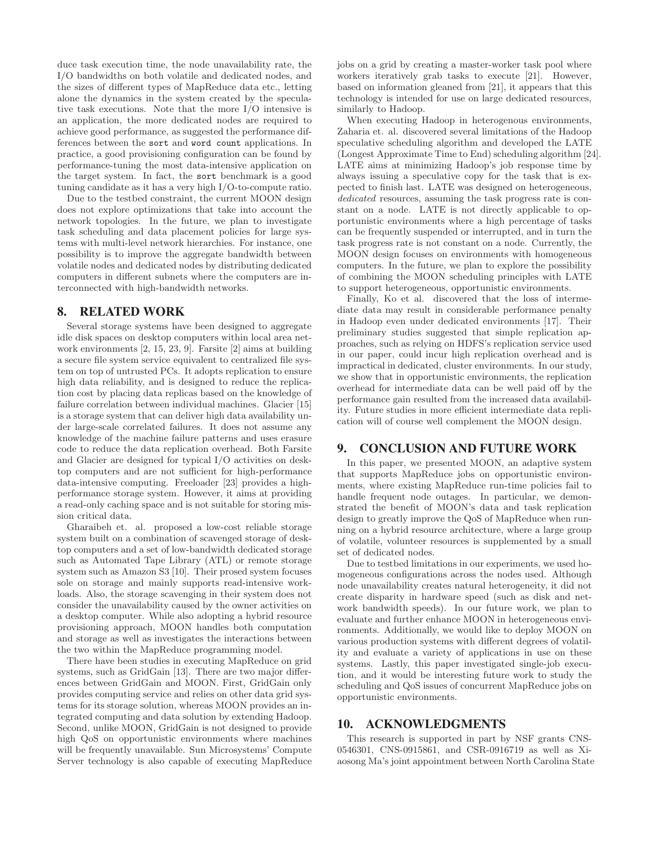duce task execution time, the node unavailability rate, the I/O bandwidths on both volatile and dedicated nodes, and the sizes of different types of MapReduce data etc., letting alone the dynamics in the system created by the speculative task executions. Note that the more I/O intensive is an application, the more dedicated nodes are required to achieve good performance, as suggested the performance differences between the sort and word count applications. In practice, a good provisioning configuration can be found by performance-tuning the most data-intensive application on the target system. In fact, the sort benchmark is a good tuning candidate as it has a very high I/O-to-compute ratio.

Due to the testbed constraint, the current MOON design does not explore optimizations that take into account the network topologies. In the future, we plan to investigate task scheduling and data placement policies for large systems with multi-level network hierarchies. For instance, one possibility is to improve the aggregate bandwidth between volatile nodes and dedicated nodes by distributing dedicated computers in different subnets where the computers are interconnected with high-bandwidth networks.

## **8. RELATED WORK**

Several storage systems have been designed to aggregate idle disk spaces on desktop computers within local area network environments [2, 15, 23, 9]. Farsite [2] aims at building a secure file system service equivalent to centralized file system on top of untrusted PCs. It adopts replication to ensure high data reliability, and is designed to reduce the replication cost by placing data replicas based on the knowledge of failure correlation between individual machines. Glacier [15] is a storage system that can deliver high data availability under large-scale correlated failures. It does not assume any knowledge of the machine failure patterns and uses erasure code to reduce the data replication overhead. Both Farsite and Glacier are designed for typical I/O activities on desktop computers and are not sufficient for high-performance data-intensive computing. Freeloader [23] provides a highperformance storage system. However, it aims at providing a read-only caching space and is not suitable for storing mission critical data.

Gharaibeh et. al. proposed a low-cost reliable storage system built on a combination of scavenged storage of desktop computers and a set of low-bandwidth dedicated storage such as Automated Tape Library (ATL) or remote storage system such as Amazon S3 [10]. Their prosed system focuses sole on storage and mainly supports read-intensive workloads. Also, the storage scavenging in their system does not consider the unavailability caused by the owner activities on a desktop computer. While also adopting a hybrid resource provisioning approach, MOON handles both computation and storage as well as investigates the interactions between the two within the MapReduce programming model.

There have been studies in executing MapReduce on grid systems, such as GridGain [13]. There are two major differences between GridGain and MOON. First, GridGain only provides computing service and relies on other data grid systems for its storage solution, whereas MOON provides an integrated computing and data solution by extending Hadoop. Second, unlike MOON, GridGain is not designed to provide high QoS on opportunistic environments where machines will be frequently unavailable. Sun Microsystems' Compute Server technology is also capable of executing MapReduce

jobs on a grid by creating a master-worker task pool where workers iteratively grab tasks to execute [21]. However, based on information gleaned from [21], it appears that this technology is intended for use on large dedicated resources, similarly to Hadoop.

When executing Hadoop in heterogenous environments, Zaharia et. al. discovered several limitations of the Hadoop speculative scheduling algorithm and developed the LATE (Longest Approximate Time to End) scheduling algorithm [24]. LATE aims at minimizing Hadoop's job response time by always issuing a speculative copy for the task that is expected to finish last. LATE was designed on heterogeneous, *dedicated* resources, assuming the task progress rate is constant on a node. LATE is not directly applicable to opportunistic environments where a high percentage of tasks can be frequently suspended or interrupted, and in turn the task progress rate is not constant on a node. Currently, the MOON design focuses on environments with homogeneous computers. In the future, we plan to explore the possibility of combining the MOON scheduling principles with LATE to support heterogeneous, opportunistic environments.

Finally, Ko et al. discovered that the loss of intermediate data may result in considerable performance penalty in Hadoop even under dedicated environments [17]. Their preliminary studies suggested that simple replication approaches, such as relying on HDFS's replication service used in our paper, could incur high replication overhead and is impractical in dedicated, cluster environments. In our study, we show that in opportunistic environments, the replication overhead for intermediate data can be well paid off by the performance gain resulted from the increased data availability. Future studies in more efficient intermediate data replication will of course well complement the MOON design.

# **9. CONCLUSION AND FUTURE WORK**

In this paper, we presented MOON, an adaptive system that supports MapReduce jobs on opportunistic environments, where existing MapReduce run-time policies fail to handle frequent node outages. In particular, we demonstrated the benefit of MOON's data and task replication design to greatly improve the QoS of MapReduce when running on a hybrid resource architecture, where a large group of volatile, volunteer resources is supplemented by a small set of dedicated nodes.

Due to testbed limitations in our experiments, we used homogeneous configurations across the nodes used. Although node unavailability creates natural heterogeneity, it did not create disparity in hardware speed (such as disk and network bandwidth speeds). In our future work, we plan to evaluate and further enhance MOON in heterogeneous environments. Additionally, we would like to deploy MOON on various production systems with different degrees of volatility and evaluate a variety of applications in use on these systems. Lastly, this paper investigated single-job execution, and it would be interesting future work to study the scheduling and QoS issues of concurrent MapReduce jobs on opportunistic environments.

### **10. ACKNOWLEDGMENTS**

This research is supported in part by NSF grants CNS-0546301, CNS-0915861, and CSR-0916719 as well as Xiaosong Ma's joint appointment between North Carolina State